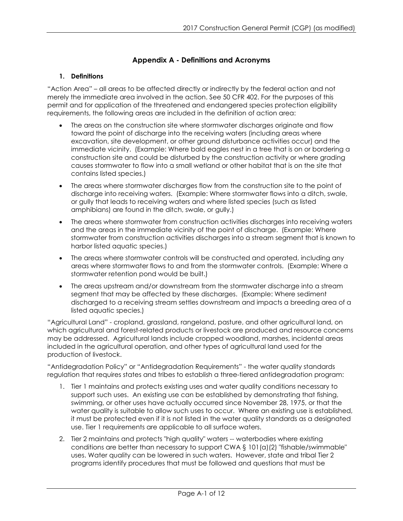## **Appendix A - Definitions and Acronyms**

## **1. Definitions**

"Action Area" – all areas to be affected directly or indirectly by the federal action and not merely the immediate area involved in the action. See 50 CFR 402. For the purposes of this permit and for application of the threatened and endangered species protection eligibility requirements, the following areas are included in the definition of action area:

- The areas on the construction site where stormwater discharges originate and flow toward the point of discharge into the receiving waters (including areas where excavation, site development, or other ground disturbance activities occur) and the immediate vicinity. (Example: Where bald eagles nest in a tree that is on or bordering a construction site and could be disturbed by the construction activity or where grading causes stormwater to flow into a small wetland or other habitat that is on the site that contains listed species.)
- The areas where stormwater discharges flow from the construction site to the point of discharge into receiving waters. (Example: Where stormwater flows into a ditch, swale, or gully that leads to receiving waters and where listed species (such as listed amphibians) are found in the ditch, swale, or gully.)
- The areas where stormwater from construction activities discharges into receiving waters and the areas in the immediate vicinity of the point of discharge. (Example: Where stormwater from construction activities discharges into a stream segment that is known to harbor listed aquatic species.)
- The areas where stormwater controls will be constructed and operated, including any areas where stormwater flows to and from the stormwater controls. (Example: Where a stormwater retention pond would be built.)
- The areas upstream and/or downstream from the stormwater discharge into a stream segment that may be affected by these discharges. (Example: Where sediment discharged to a receiving stream settles downstream and impacts a breeding area of a listed aquatic species.)

"Agricultural Land" - cropland, grassland, rangeland, pasture, and other agricultural land, on which agricultural and forest-related products or livestock are produced and resource concerns may be addressed. Agricultural lands include cropped woodland, marshes, incidental areas included in the agricultural operation, and other types of agricultural land used for the production of livestock.

"Antidegradation Policy" or "Antidegradation Requirements" - the water quality standards regulation that requires states and tribes to establish a three-tiered antidegradation program:

- 1. Tier 1 maintains and protects existing uses and water quality conditions necessary to support such uses. An existing use can be established by demonstrating that fishing, swimming, or other uses have actually occurred since November 28, 1975, or that the water quality is suitable to allow such uses to occur. Where an existing use is established, it must be protected even if it is not listed in the water quality standards as a designated use. Tier 1 requirements are applicable to all surface waters.
- 2. Tier 2 maintains and protects "high quality" waters -- waterbodies where existing conditions are better than necessary to support CWA § 101(a)(2) "fishable/swimmable" uses. Water quality can be lowered in such waters. However, state and tribal Tier 2 programs identify procedures that must be followed and questions that must be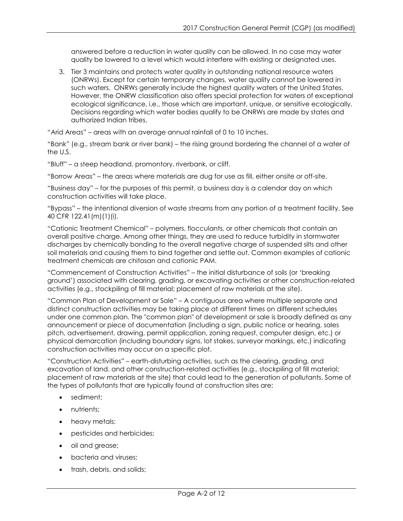answered before a reduction in water quality can be allowed. In no case may water quality be lowered to a level which would interfere with existing or designated uses.

3. Tier 3 maintains and protects water quality in outstanding national resource waters (ONRWs). Except for certain temporary changes, water quality cannot be lowered in such waters. ONRWs generally include the highest quality waters of the United States. However, the ONRW classification also offers special protection for waters of exceptional ecological significance, i.e., those which are important, unique, or sensitive ecologically. Decisions regarding which water bodies qualify to be ONRWs are made by states and authorized Indian tribes.

"Arid Areas" – areas with an average annual rainfall of 0 to 10 inches.

"Bank" (e.g., stream bank or river bank) – the rising ground bordering the channel of a water of the U.S.

"Bluff" – a steep headland, promontory, riverbank, or cliff.

"Borrow Areas" – the areas where materials are dug for use as fill, either onsite or off-site.

"Business day" – for the purposes of this permit, a business day is a calendar day on which construction activities will take place.

"Bypass" – the intentional diversion of waste streams from any portion of a treatment facility. See 40 CFR 122.41(m)(1)(i).

"Cationic Treatment Chemical" – polymers, flocculants, or other chemicals that contain an overall positive charge. Among other things, they are used to reduce turbidity in stormwater discharges by chemically bonding to the overall negative charge of suspended silts and other soil materials and causing them to bind together and settle out. Common examples of cationic treatment chemicals are chitosan and cationic PAM.

"Commencement of Construction Activities" – the initial disturbance of soils (or 'breaking ground') associated with clearing, grading, or excavating activities or other construction-related activities (e.g., stockpiling of fill material; placement of raw materials at the site).

"Common Plan of Development or Sale" – A contiguous area where multiple separate and distinct construction activities may be taking place at different times on different schedules under one common plan. The "common plan" of development or sale is broadly defined as any announcement or piece of documentation (including a sign, public notice or hearing, sales pitch, advertisement, drawing, permit application, zoning request, computer design, etc.) or physical demarcation (including boundary signs, lot stakes, surveyor markings, etc.) indicating construction activities may occur on a specific plot.

"Construction Activities" – earth-disturbing activities, such as the clearing, grading, and excavation of land, and other construction-related activities (e.g., stockpiling of fill material; placement of raw materials at the site) that could lead to the generation of pollutants. Some of the types of pollutants that are typically found at construction sites are:

- sediment;
- nutrients;
- heavy metals;
- pesticides and herbicides;
- oil and grease;
- bacteria and viruses;
- trash, debris, and solids;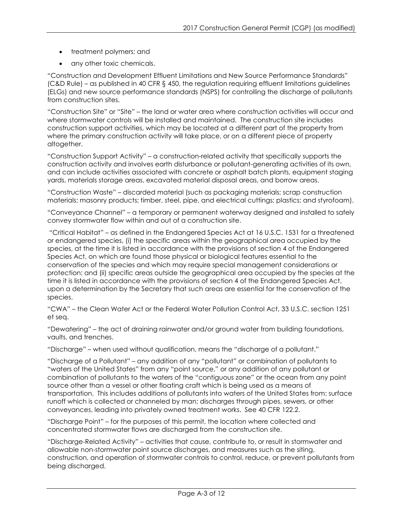- treatment polymers; and
- any other toxic chemicals.

"Construction and Development Effluent Limitations and New Source Performance Standards" (C&D Rule) – as published in 40 CFR § 450, the regulation requiring effluent limitations guidelines (ELGs) and new source performance standards (NSPS) for controlling the discharge of pollutants from construction sites.

"Construction Site" or "Site" – the land or water area where construction activities will occur and where stormwater controls will be installed and maintained. The construction site includes construction support activities, which may be located at a different part of the property from where the primary construction activity will take place, or on a different piece of property altogether.

"Construction Support Activity" – a construction-related activity that specifically supports the construction activity and involves earth disturbance or pollutant-generating activities of its own, and can include activities associated with concrete or asphalt batch plants, equipment staging yards, materials storage areas, excavated material disposal areas, and borrow areas.

"Construction Waste" – discarded material (such as packaging materials; scrap construction materials; masonry products; timber, steel, pipe, and electrical cuttings; plastics; and styrofoam).

"Conveyance Channel" – a temporary or permanent waterway designed and installed to safely convey stormwater flow within and out of a construction site.

"Critical Habitat" – as defined in the Endangered Species Act at 16 U.S.C. 1531 for a threatened or endangered species, (i) the specific areas within the geographical area occupied by the species, at the time it is listed in accordance with the provisions of section 4 of the Endangered Species Act, on which are found those physical or biological features essential to the conservation of the species and which may require special management considerations or protection; and (ii) specific areas outside the geographical area occupied by the species at the time it is listed in accordance with the provisions of section 4 of the Endangered Species Act, upon a determination by the Secretary that such areas are essential for the conservation of the species.

"CWA" – the Clean Water Act or the Federal Water Pollution Control Act, 33 U.S.C. section 1251 et seq.

"Dewatering" – the act of draining rainwater and/or ground water from building foundations, vaults, and trenches.

"Discharge" – when used without qualification, means the "discharge of a pollutant."

"Discharge of a Pollutant" – any addition of any "pollutant" or combination of pollutants to "waters of the United States" from any "point source," or any addition of any pollutant or combination of pollutants to the waters of the "contiguous zone" or the ocean from any point source other than a vessel or other floating craft which is being used as a means of transportation. This includes additions of pollutants into waters of the United States from: surface runoff which is collected or channeled by man; discharges through pipes, sewers, or other conveyances, leading into privately owned treatment works. See 40 CFR 122.2.

"Discharge Point" – for the purposes of this permit, the location where collected and concentrated stormwater flows are discharged from the construction site.

"Discharge-Related Activity" – activities that cause, contribute to, or result in stormwater and allowable non-stormwater point source discharges, and measures such as the siting, construction, and operation of stormwater controls to control, reduce, or prevent pollutants from being discharged.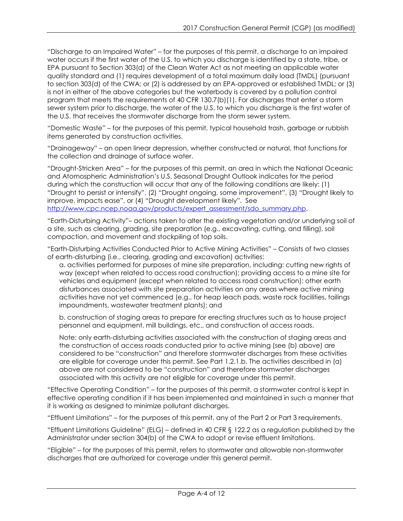"Discharge to an Impaired Water" – for the purposes of this permit, a discharge to an impaired water occurs if the first water of the U.S. to which you discharge is identified by a state, tribe, or EPA pursuant to Section 303(d) of the Clean Water Act as not meeting an applicable water quality standard and (1) requires development of a total maximum daily load (TMDL) (pursuant to section 303(d) of the CWA; or (2) is addressed by an EPA-approved or established TMDL; or (3) is not in either of the above categories but the waterbody is covered by a pollution control program that meets the requirements of 40 CFR 130.7(b)(1). For discharges that enter a storm sewer system prior to discharge, the water of the U.S. to which you discharge is the first water of the U.S. that receives the stormwater discharge from the storm sewer system.

"Domestic Waste" – for the purposes of this permit, typical household trash, garbage or rubbish items generated by construction activities.

"Drainageway" – an open linear depression, whether constructed or natural, that functions for the collection and drainage of surface water.

"Drought-Stricken Area" – for the purposes of this permit, an area in which the National Oceanic and Atomospheric Administration's U.S. Seasonal Drought Outlook indicates for the period during which the construction will occur that any of the following conditions are likely: (1) "Drought to persist or intensify", (2) "Drought ongoing, some improvement", (3) "Drought likely to improve, impacts ease", or (4) "Drought development likely". See [http://www.cpc.ncep.noaa.gov/products/expert\\_assessment/sdo\\_summary.php.](http://www.cpc.ncep.noaa.gov/products/expert_assessment/sdo_summary.php)

"Earth-Disturbing Activity"– actions taken to alter the existing vegetation and/or underlying soil of a site, such as clearing, grading, site preparation (e.g., excavating, cutting, and filling), soil compaction, and movement and stockpiling of top soils.

"Earth-Disturbing Activities Conducted Prior to Active Mining Activities" *–* Consists of two classes of earth-disturbing (i.e., clearing, grading and excavation) activities:

a. activities performed for purposes of mine site preparation, including: cutting new rights of way (except when related to access road construction); providing access to a mine site for vehicles and equipment (except when related to access road construction); other earth disturbances associated with site preparation activities on any areas where active mining activities have not yet commenced (e.g., for heap leach pads, waste rock facilities, tailings impoundments, wastewater treatment plants); and

b. construction of staging areas to prepare for erecting structures such as to house project personnel and equipment, mill buildings, etc., and construction of access roads.

Note: only earth-disturbing activities associated with the construction of staging areas and the construction of access roads conducted prior to active mining (see (b) above) are considered to be "construction" and therefore stormwater discharges from these activities are eligible for coverage under this permit. See Part 1.2.1.b. The activities described in (a) above are not considered to be "construction" and therefore stormwater discharges associated with this activity are not eligible for coverage under this permit.

"Effective Operating Condition" – for the purposes of this permit, a stormwater control is kept in effective operating condition if it has been implemented and maintained in such a manner that it is working as designed to minimize pollutant discharges.

"Effluent Limitations" – for the purposes of this permit, any of the Part 2 or Part 3 requirements.

"Effluent Limitations Guideline" (ELG) – defined in 40 CFR § 122.2 as a regulation published by the Administrator under section 304(b) of the CWA to adopt or revise effluent limitations.

"Eligible" – for the purposes of this permit, refers to stormwater and allowable non-stormwater discharges that are authorized for coverage under this general permit.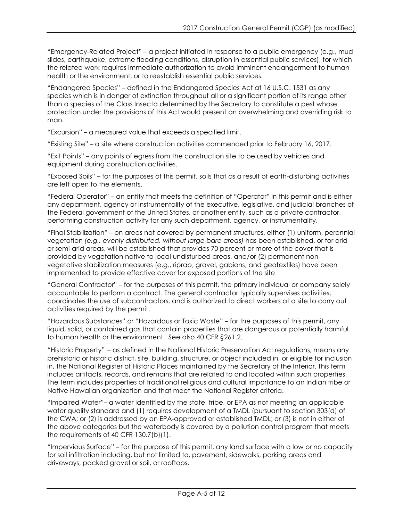"Emergency-Related Project" – a project initiated in response to a public emergency (e.g., mud slides, earthquake, extreme flooding conditions, disruption in essential public services), for which the related work requires immediate authorization to avoid imminent endangerment to human health or the environment, or to reestablish essential public services.

"Endangered Species" – defined in the Endangered Species Act at 16 U.S.C. 1531 as any species which is in danger of extinction throughout all or a significant portion of its range other than a species of the Class Insecta determined by the Secretary to constitute a pest whose protection under the provisions of this Act would present an overwhelming and overriding risk to man.

"Excursion" – a measured value that exceeds a specified limit.

"Existing Site" – a site where construction activities commenced prior to February 16, 2017.

"Exit Points" – any points of egress from the construction site to be used by vehicles and equipment during construction activities.

"Exposed Soils" – for the purposes of this permit, soils that as a result of earth-disturbing activities are left open to the elements.

"Federal Operator" – an entity that meets the definition of "Operator" in this permit and is either any department, agency or instrumentality of the executive, legislative, and judicial branches of the Federal government of the United States, or another entity, such as a private contractor, performing construction activity for any such department, agency, or instrumentality.

"Final Stabilization" – on areas not covered by permanent structures, either (1) uniform, perennial vegetation *(e.g., evenly distributed, without large bare areas)* has been established, or for arid or semi-arid areas, will be established that provides 70 percent or more of the cover that is provided by vegetation native to local undisturbed areas, and/or (2) permanent nonvegetative stabilization measures (e.g., riprap, gravel, gabions, and geotextiles) have been implemented to provide effective cover for exposed portions of the site

"General Contractor" – for the purposes of this permit, the primary individual or company solely accountable to perform a contract. The general contractor typically supervises activities, coordinates the use of subcontractors, and is authorized to direct workers at a site to carry out activities required by the permit.

"Hazardous Substances" or "Hazardous or Toxic Waste" – for the purposes of this permit, any liquid, solid, or contained gas that contain properties that are dangerous or potentially harmful to human health or the environment. See also 40 CFR §261.2.

"Historic Property" – as defined in the National Historic Preservation Act regulations, means any prehistoric or historic district, site, building, structure, or object included in, or eligible for inclusion in, the National Register of Historic Places maintained by the Secretary of the Interior. This term includes artifacts, records, and remains that are related to and located within such properties. The term includes properties of traditional religious and cultural importance to an Indian tribe or Native Hawaiian organization and that meet the National Register criteria.

"Impaired Water"– a water identified by the state, tribe, or EPA as not meeting an applicable water quality standard and (1) requires development of a TMDL (pursuant to section 303(d) of the CWA; or (2) is addressed by an EPA-approved or established TMDL; or (3) is not in either of the above categories but the waterbody is covered by a pollution control program that meets the requirements of 40 CFR 130.7(b)(1).

"Impervious Surface" – for the purpose of this permit, any land surface with a low or no capacity for soil infiltration including, but not limited to, pavement, sidewalks, parking areas and driveways, packed gravel or soil, or rooftops.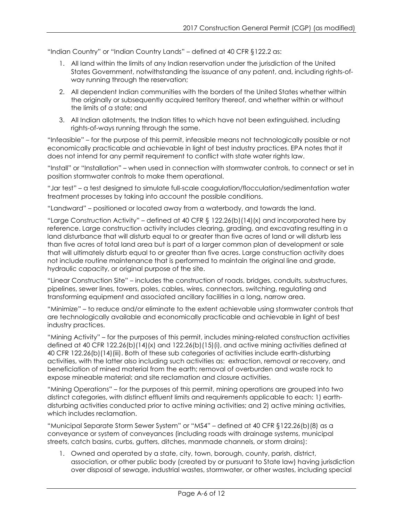"Indian Country" or "Indian Country Lands" – defined at 40 CFR §122.2 as:

- 1. All land within the limits of any Indian reservation under the jurisdiction of the United States Government, notwithstanding the issuance of any patent, and, including rights-ofway running through the reservation;
- 2. All dependent Indian communities with the borders of the United States whether within the originally or subsequently acquired territory thereof, and whether within or without the limits of a state; and
- 3. All Indian allotments, the Indian titles to which have not been extinguished, including rights-of-ways running through the same.

"Infeasible" – for the purpose of this permit, infeasible means not technologically possible or not economically practicable and achievable in light of best industry practices. EPA notes that it does not intend for any permit requirement to conflict with state water rights law.

"Install" or "Installation" – when used in connection with stormwater controls, to connect or set in position stormwater controls to make them operational.

"Jar test" – a test designed to simulate full-scale coagulation/flocculation/sedimentation water treatment processes by taking into account the possible conditions.

"Landward" – positioned or located away from a waterbody, and towards the land.

"Large Construction Activity" – defined at 40 CFR § 122.26(b)(14)(x) and incorporated here by reference. Large construction activity includes clearing, grading, and excavating resulting in a land disturbance that will disturb equal to or greater than five acres of land or will disturb less than five acres of total land area but is part of a larger common plan of development or sale that will ultimately disturb equal to or greater than five acres. Large construction activity does not include routine maintenance that is performed to maintain the original line and grade, hydraulic capacity, or original purpose of the site.

"Linear Construction Site" – includes the construction of roads, bridges, conduits, substructures, pipelines, sewer lines, towers, poles, cables, wires, connectors, switching, regulating and transforming equipment and associated ancillary facilities in a long, narrow area.

"Minimize" – to reduce and/or eliminate to the extent achievable using stormwater controls that are technologically available and economically practicable and achievable in light of best industry practices.

"Mining Activity" – for the purposes of this permit, includes mining-related construction activities defined at 40 CFR 122.26(b)(14)(x) and 122.26(b)(15)(i), and active mining activities defined at 40 CFR 122.26(b)(14)(iii). Both of these sub categories of activities include earth-disturbing activities, with the latter also including such activities as: extraction, removal or recovery, and beneficiation of mined material from the earth; removal of overburden and waste rock to expose mineable material; and site reclamation and closure activities.

"Mining Operations" – for the purposes of this permit, mining operations are grouped into two distinct categories, with distinct effluent limits and requirements applicable to each: 1) earthdisturbing activities conducted prior to active mining activities; and 2) active mining activities, which includes reclamation.

"Municipal Separate Storm Sewer System" or "MS4" – defined at 40 CFR §122.26(b)(8) as a conveyance or system of conveyances (including roads with drainage systems, municipal streets, catch basins, curbs, gutters, ditches, manmade channels, or storm drains):

1. Owned and operated by a state, city, town, borough, county, parish, district, association, or other public body (created by or pursuant to State law) having jurisdiction over disposal of sewage, industrial wastes, stormwater, or other wastes, including special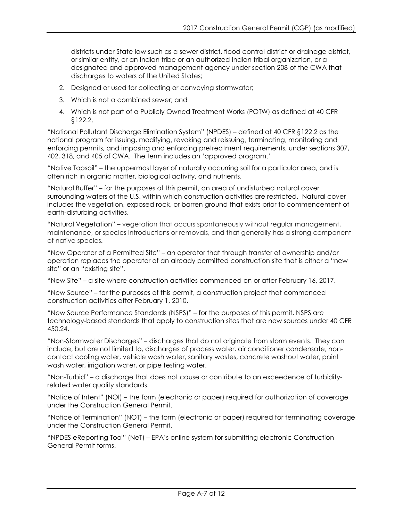districts under State law such as a sewer district, flood control district or drainage district, or similar entity, or an Indian tribe or an authorized Indian tribal organization, or a designated and approved management agency under section 208 of the CWA that discharges to waters of the United States;

- 2. Designed or used for collecting or conveying stormwater;
- 3. Which is not a combined sewer; and
- 4. Which is not part of a Publicly Owned Treatment Works (POTW) as defined at 40 CFR §122.2.

"National Pollutant Discharge Elimination System" (NPDES) – defined at 40 CFR §122.2 as the national program for issuing, modifying, revoking and reissuing, terminating, monitoring and enforcing permits, and imposing and enforcing pretreatment requirements, under sections 307, 402, 318, and 405 of CWA. The term includes an 'approved program.'

"Native Topsoil" – the uppermost layer of naturally occurring soil for a particular area, and is often rich in organic matter, biological activity, and nutrients.

"Natural Buffer" – for the purposes of this permit, an area of undisturbed natural cover surrounding waters of the U.S. within which construction activities are restricted. Natural cover includes the vegetation, exposed rock, or barren ground that exists prior to commencement of earth-disturbing activities.

"Natural Vegetation" – vegetation that occurs spontaneously without regular management, maintenance, or species introductions or removals, and that generally has a strong component of native species..

"New Operator of a Permitted Site" – an operator that through transfer of ownership and/or operation replaces the operator of an already permitted construction site that is either a "new site" or an "existing site".

"New Site" – a site where construction activities commenced on or after February 16, 2017.

"New Source" – for the purposes of this permit, a construction project that commenced construction activities after February 1, 2010.

"New Source Performance Standards (NSPS)" – for the purposes of this permit, NSPS are technology-based standards that apply to construction sites that are new sources under 40 CFR 450.24.

"Non-Stormwater Discharges" – discharges that do not originate from storm events. They can include, but are not limited to, discharges of process water, air conditioner condensate, noncontact cooling water, vehicle wash water, sanitary wastes, concrete washout water, paint wash water, irrigation water, or pipe testing water.

"Non-Turbid" – a discharge that does not cause or contribute to an exceedence of turbidityrelated water quality standards.

"Notice of Intent" (NOI) – the form (electronic or paper) required for authorization of coverage under the Construction General Permit.

"Notice of Termination" (NOT) – the form (electronic or paper) required for terminating coverage under the Construction General Permit.

"NPDES eReporting Tool" (NeT) – EPA's online system for submitting electronic Construction General Permit forms.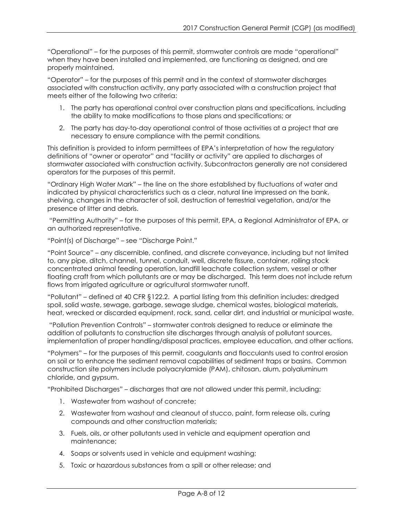"Operational" – for the purposes of this permit, stormwater controls are made "operational" when they have been installed and implemented, are functioning as designed, and are properly maintained.

"Operator" – for the purposes of this permit and in the context of stormwater discharges associated with construction activity, any party associated with a construction project that meets either of the following two criteria:

- 1. The party has operational control over construction plans and specifications, including the ability to make modifications to those plans and specifications; or
- 2. The party has day-to-day operational control of those activities at a project that are necessary to ensure compliance with the permit conditions*.*

This definition is provided to inform permittees of EPA's interpretation of how the regulatory definitions of "owner or operator" and "facility or activity" are applied to discharges of stormwater associated with construction activity. Subcontractors generally are not considered operators for the purposes of this permit.

"Ordinary High Water Mark" – the line on the shore established by fluctuations of water and indicated by physical characteristics such as a clear, natural line impressed on the bank, shelving, changes in the character of soil, destruction of terrestrial vegetation, and/or the presence of litter and debris.

"Permitting Authority" – for the purposes of this permit, EPA, a Regional Administrator of EPA, or an authorized representative.

"Point(s) of Discharge" – see "Discharge Point."

"Point Source" – any discernible, confined, and discrete conveyance, including but not limited to, any pipe, ditch, channel, tunnel, conduit, well, discrete fissure, container, rolling stock concentrated animal feeding operation, landfill leachate collection system, vessel or other floating craft from which pollutants are or may be discharged. This term does not include return flows from irrigated agriculture or agricultural stormwater runoff.

"Pollutant" – defined at 40 CFR §122.2. A partial listing from this definition includes: dredged spoil, solid waste, sewage, garbage, sewage sludge, chemical wastes, biological materials, heat, wrecked or discarded equipment, rock, sand, cellar dirt, and industrial or municipal waste.

"Pollution Prevention Controls" – stormwater controls designed to reduce or eliminate the addition of pollutants to construction site discharges through analysis of pollutant sources, implementation of proper handling/disposal practices, employee education, and other actions.

"Polymers" – for the purposes of this permit, coagulants and flocculants used to control erosion on soil or to enhance the sediment removal capabilities of sediment traps or basins. Common construction site polymers include polyacrylamide (PAM), chitosan, alum, polyaluminum chloride, and gypsum.

"Prohibited Discharges" – discharges that are not allowed under this permit, including:

- 1. Wastewater from washout of concrete;
- 2. Wastewater from washout and cleanout of stucco, paint, form release oils, curing compounds and other construction materials;
- 3. Fuels, oils, or other pollutants used in vehicle and equipment operation and maintenance;
- 4. Soaps or solvents used in vehicle and equipment washing;
- 5. Toxic or hazardous substances from a spill or other release; and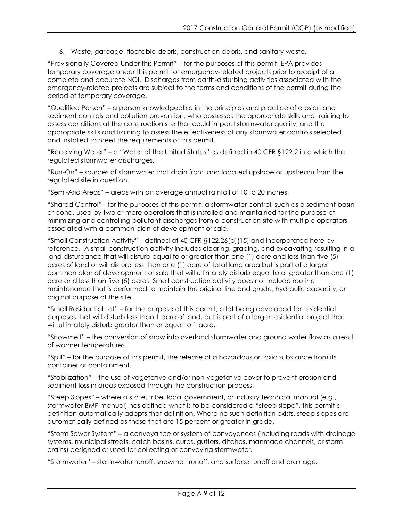6. Waste, garbage, floatable debris, construction debris, and sanitary waste.

"Provisionally Covered Under this Permit" – for the purposes of this permit, EPA provides temporary coverage under this permit for emergency-related projects prior to receipt of a complete and accurate NOI. Discharges from earth-disturbing activities associated with the emergency-related projects are subject to the terms and conditions of the permit during the period of temporary coverage.

"Qualified Person" – a person knowledgeable in the principles and practice of erosion and sediment controls and pollution prevention, who possesses the appropriate skills and training to assess conditions at the construction site that could impact stormwater quality, and the appropriate skills and training to assess the effectiveness of any stormwater controls selected and installed to meet the requirements of this permit.

"Receiving Water" – a "Water of the United States" as defined in 40 CFR §122.2 into which the regulated stormwater discharges.

"Run-On" – sources of stormwater that drain from land located upslope or upstream from the regulated site in question.

"Semi-Arid Areas" – areas with an average annual rainfall of 10 to 20 inches.

"Shared Control" - for the purposes of this permit, a stormwater control, such as a sediment basin or pond, used by two or more operators that is installed and maintained for the purpose of minimizing and controlling pollutant discharges from a construction site with multiple operators associated with a common plan of development or sale.

"Small Construction Activity" – defined at 40 CFR §122.26(b)(15) and incorporated here by reference. A small construction activity includes clearing, grading, and excavating resulting in a land disturbance that will disturb equal to or greater than one (1) acre and less than five (5) acres of land or will disturb less than one (1) acre of total land area but is part of a larger common plan of development or sale that will ultimately disturb equal to or greater than one (1) acre and less than five (5) acres. Small construction activity does not include routine maintenance that is performed to maintain the original line and grade, hydraulic capacity, or original purpose of the site.

"Small Residential Lot" – for the purpose of this permit, a lot being developed for residential purposes that will disturb less than 1 acre of land, but is part of a larger residential project that will ultimately disturb greater than or equal to 1 acre.

"Snowmelt" – the conversion of snow into overland stormwater and ground water flow as a result of warmer temperatures.

"Spill" – for the purpose of this permit, the release of a hazardous or toxic substance from its container or containment.

"Stabilization" – the use of vegetative and/or non-vegetative cover to prevent erosion and sediment loss in areas exposed through the construction process.

"Steep Slopes" – where a state, tribe, local government, or industry technical manual (e.g., stormwater BMP manual) has defined what is to be considered a "steep slope", this permit's definition automatically adopts that definition. Where no such definition exists, steep slopes are automatically defined as those that are 15 percent or greater in grade.

"Storm Sewer System" – a conveyance or system of conveyances (including roads with drainage systems, municipal streets, catch basins, curbs, gutters, ditches, manmade channels, or storm drains) designed or used for collecting or conveying stormwater.

"Stormwater" – stormwater runoff, snowmelt runoff, and surface runoff and drainage.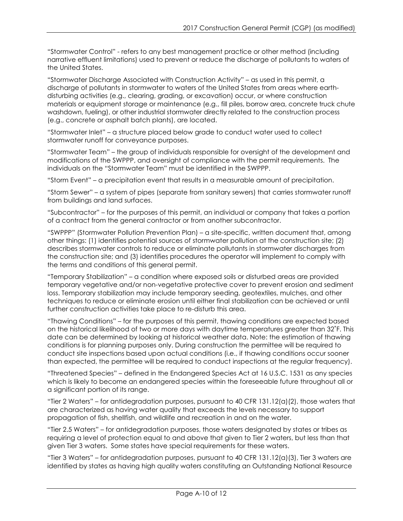"Stormwater Control" - refers to any best management practice or other method (including narrative effluent limitations) used to prevent or reduce the discharge of pollutants to waters of the United States.

"Stormwater Discharge Associated with Construction Activity" – as used in this permit, a discharge of pollutants in stormwater to waters of the United States from areas where earthdisturbing activities (e.g., clearing, grading, or excavation) occur, or where construction materials or equipment storage or maintenance (e.g., fill piles, borrow area, concrete truck chute washdown, fueling), or other industrial stormwater directly related to the construction process (e.g., concrete or asphalt batch plants), are located.

"Stormwater Inlet" – a structure placed below grade to conduct water used to collect stormwater runoff for conveyance purposes.

"Stormwater Team" – the group of individuals responsible for oversight of the development and modifications of the SWPPP, and oversight of compliance with the permit requirements. The individuals on the "Stormwater Team" must be identified in the SWPPP.

"Storm Event" – a precipitation event that results in a measurable amount of precipitation.

"Storm Sewer" – a system of pipes (separate from sanitary sewers) that carries stormwater runoff from buildings and land surfaces.

"Subcontractor" – for the purposes of this permit, an individual or company that takes a portion of a contract from the general contractor or from another subcontractor.

"SWPPP" (Stormwater Pollution Prevention Plan) – a site-specific, written document that, among other things: (1) identifies potential sources of stormwater pollution at the construction site; (2) describes stormwater controls to reduce or eliminate pollutants in stormwater discharges from the construction site; and (3) identifies procedures the operator will implement to comply with the terms and conditions of this general permit.

"Temporary Stabilization" – a condition where exposed soils or disturbed areas are provided temporary vegetative and/or non-vegetative protective cover to prevent erosion and sediment loss. Temporary stabilization may include temporary seeding, geotextiles, mulches, and other techniques to reduce or eliminate erosion until either final stabilization can be achieved or until further construction activities take place to re-disturb this area.

"Thawing Conditions" – for the purposes of this permit, thawing conditions are expected based on the historical likelihood of two or more days with daytime temperatures greater than 32˚F. This date can be determined by looking at historical weather data. Note: the estimation of thawing conditions is for planning purposes only. During construction the permittee will be required to conduct site inspections based upon actual conditions (i.e., if thawing conditions occur sooner than expected, the permittee will be required to conduct inspections at the regular frequency).

"Threatened Species" – defined in the Endangered Species Act at 16 U.S.C. 1531 as any species which is likely to become an endangered species within the foreseeable future throughout all or a significant portion of its range.

"Tier 2 Waters" – for antidegradation purposes, pursuant to 40 CFR 131.12(a)(2), those waters that are characterized as having water quality that exceeds the levels necessary to support propagation of fish, shellfish, and wildlife and recreation in and on the water.

"Tier 2.5 Waters" – for antidegradation purposes, those waters designated by states or tribes as requiring a level of protection equal to and above that given to Tier 2 waters, but less than that given Tier 3 waters. Some states have special requirements for these waters.

"Tier 3 Waters" – for antidegradation purposes, pursuant to 40 CFR 131.12(a)(3), Tier 3 waters are identified by states as having high quality waters constituting an Outstanding National Resource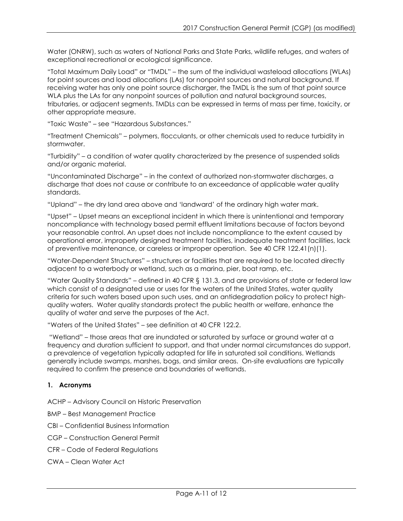Water (ONRW), such as waters of National Parks and State Parks, wildlife refuges, and waters of exceptional recreational or ecological significance.

"Total Maximum Daily Load" or "TMDL" – the sum of the individual wasteload allocations (WLAs) for point sources and load allocations (LAs) for nonpoint sources and natural background. If receiving water has only one point source discharger, the TMDL is the sum of that point source WLA plus the LAs for any nonpoint sources of pollution and natural background sources, tributaries, or adjacent segments. TMDLs can be expressed in terms of mass per time, toxicity, or other appropriate measure.

"Toxic Waste" – see "Hazardous Substances."

"Treatment Chemicals" – polymers, flocculants, or other chemicals used to reduce turbidity in stormwater.

"Turbidity" – a condition of water quality characterized by the presence of suspended solids and/or organic material.

"Uncontaminated Discharge" – in the context of authorized non-stormwater discharges, a discharge that does not cause or contribute to an exceedance of applicable water quality standards.

"Upland" – the dry land area above and 'landward' of the ordinary high water mark.

"Upset" – Upset means an exceptional incident in which there is unintentional and temporary noncompliance with technology based permit effluent limitations because of factors beyond your reasonable control. An upset does not include noncompliance to the extent caused by operational error, improperly designed treatment facilities, inadequate treatment facilities, lack of preventive maintenance, or careless or improper operation. See 40 CFR 122.41(n)(1).

"Water-Dependent Structures" – structures or facilities that are required to be located directly adjacent to a waterbody or wetland, such as a marina, pier, boat ramp, etc.

"Water Quality Standards" – defined in 40 CFR § 131.3, and are provisions of state or federal law which consist of a designated use or uses for the waters of the United States, water quality criteria for such waters based upon such uses, and an antidegradation policy to protect highquality waters. Water quality standards protect the public health or welfare, enhance the quality of water and serve the purposes of the Act.

"Waters of the United States" – see definition at 40 CFR 122.2.

"Wetland" – those areas that are inundated or saturated by surface or ground water at a frequency and duration sufficient to support, and that under normal circumstances do support, a prevalence of vegetation typically adapted for life in saturated soil conditions. Wetlands generally include swamps, marshes, bogs, and similar areas. On-site evaluations are typically required to confirm the presence and boundaries of wetlands.

## **1. Acronyms**

ACHP – Advisory Council on Historic Preservation

BMP – Best Management Practice

CBI – Confidential Business Information

CGP – Construction General Permit

- CFR Code of Federal Regulations
- CWA Clean Water Act